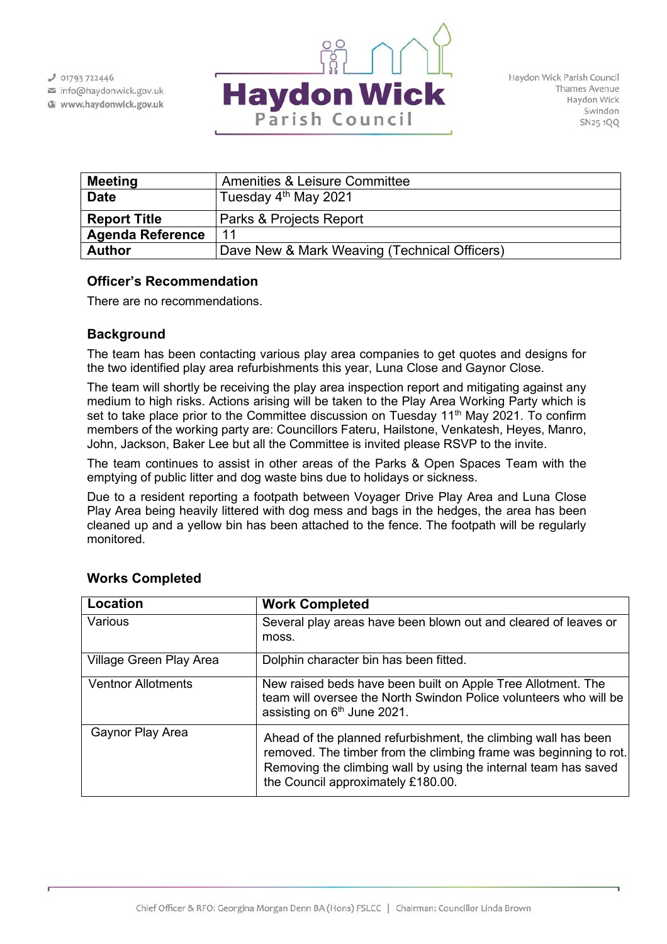$J$  01793 722446

info@haydonwick.gov.uk Www.haydonwick.gov.uk



| <b>Meeting</b>          | <b>Amenities &amp; Leisure Committee</b>     |
|-------------------------|----------------------------------------------|
| <b>Date</b>             | Tuesday 4 <sup>th</sup> May 2021             |
| <b>Report Title</b>     | Parks & Projects Report                      |
| <b>Agenda Reference</b> | 11                                           |
| <b>Author</b>           | Dave New & Mark Weaving (Technical Officers) |

## **Officer's Recommendation**

There are no recommendations.

## **Background**

The team has been contacting various play area companies to get quotes and designs for the two identified play area refurbishments this year, Luna Close and Gaynor Close.

The team will shortly be receiving the play area inspection report and mitigating against any medium to high risks. Actions arising will be taken to the Play Area Working Party which is set to take place prior to the Committee discussion on Tuesday  $11<sup>th</sup>$  May 2021. To confirm members of the working party are: Councillors Fateru, Hailstone, Venkatesh, Heyes, Manro, John, Jackson, Baker Lee but all the Committee is invited please RSVP to the invite.

The team continues to assist in other areas of the Parks & Open Spaces Team with the emptying of public litter and dog waste bins due to holidays or sickness.

Due to a resident reporting a footpath between Voyager Drive Play Area and Luna Close Play Area being heavily littered with dog mess and bags in the hedges, the area has been cleaned up and a yellow bin has been attached to the fence. The footpath will be regularly monitored.

| Location                  | <b>Work Completed</b>                                                                                                                                                                                                                        |
|---------------------------|----------------------------------------------------------------------------------------------------------------------------------------------------------------------------------------------------------------------------------------------|
| Various                   | Several play areas have been blown out and cleared of leaves or<br>moss.                                                                                                                                                                     |
| Village Green Play Area   | Dolphin character bin has been fitted.                                                                                                                                                                                                       |
| <b>Ventnor Allotments</b> | New raised beds have been built on Apple Tree Allotment. The<br>team will oversee the North Swindon Police volunteers who will be<br>assisting on 6 <sup>th</sup> June 2021.                                                                 |
| Gaynor Play Area          | Ahead of the planned refurbishment, the climbing wall has been<br>removed. The timber from the climbing frame was beginning to rot.<br>Removing the climbing wall by using the internal team has saved<br>the Council approximately £180.00. |

# **Works Completed**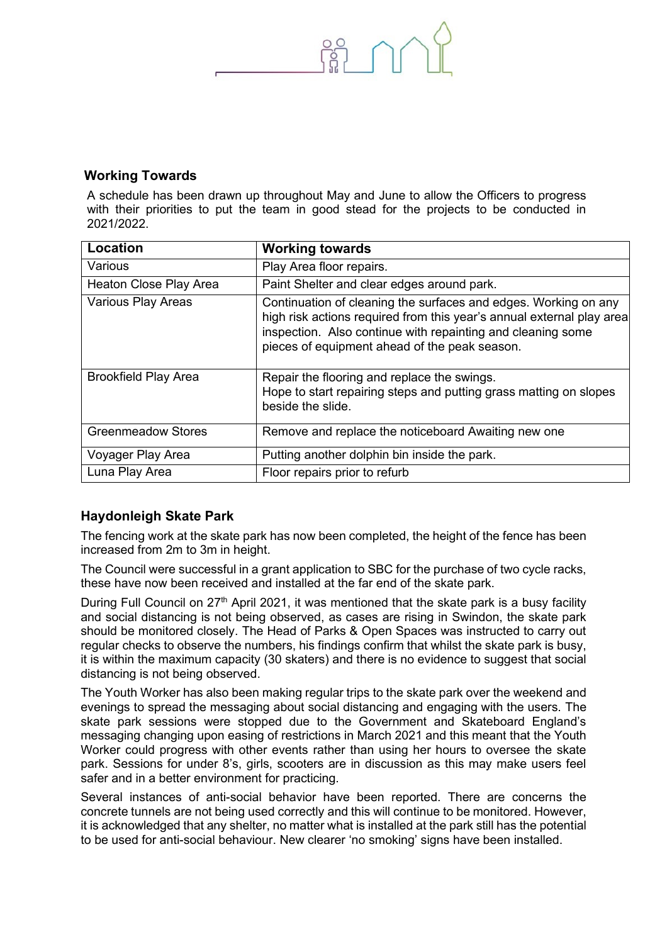

### **Working Towards**

A schedule has been drawn up throughout May and June to allow the Officers to progress with their priorities to put the team in good stead for the projects to be conducted in 2021/2022.

| Location                    | <b>Working towards</b>                                                                                                                                                                                                                                   |
|-----------------------------|----------------------------------------------------------------------------------------------------------------------------------------------------------------------------------------------------------------------------------------------------------|
| Various                     | Play Area floor repairs.                                                                                                                                                                                                                                 |
| Heaton Close Play Area      | Paint Shelter and clear edges around park.                                                                                                                                                                                                               |
| <b>Various Play Areas</b>   | Continuation of cleaning the surfaces and edges. Working on any<br>high risk actions required from this year's annual external play area<br>inspection. Also continue with repainting and cleaning some<br>pieces of equipment ahead of the peak season. |
| <b>Brookfield Play Area</b> | Repair the flooring and replace the swings.<br>Hope to start repairing steps and putting grass matting on slopes<br>beside the slide.                                                                                                                    |
| <b>Greenmeadow Stores</b>   | Remove and replace the noticeboard Awaiting new one                                                                                                                                                                                                      |
| Voyager Play Area           | Putting another dolphin bin inside the park.                                                                                                                                                                                                             |
| Luna Play Area              | Floor repairs prior to refurb                                                                                                                                                                                                                            |

# **Haydonleigh Skate Park**

The fencing work at the skate park has now been completed, the height of the fence has been increased from 2m to 3m in height.

The Council were successful in a grant application to SBC for the purchase of two cycle racks, these have now been received and installed at the far end of the skate park.

During Full Council on  $27<sup>th</sup>$  April 2021, it was mentioned that the skate park is a busy facility and social distancing is not being observed, as cases are rising in Swindon, the skate park should be monitored closely. The Head of Parks & Open Spaces was instructed to carry out regular checks to observe the numbers, his findings confirm that whilst the skate park is busy, it is within the maximum capacity (30 skaters) and there is no evidence to suggest that social distancing is not being observed.

The Youth Worker has also been making regular trips to the skate park over the weekend and evenings to spread the messaging about social distancing and engaging with the users. The skate park sessions were stopped due to the Government and Skateboard England's messaging changing upon easing of restrictions in March 2021 and this meant that the Youth Worker could progress with other events rather than using her hours to oversee the skate park. Sessions for under 8's, girls, scooters are in discussion as this may make users feel safer and in a better environment for practicing.

Several instances of anti-social behavior have been reported. There are concerns the concrete tunnels are not being used correctly and this will continue to be monitored. However, it is acknowledged that any shelter, no matter what is installed at the park still has the potential to be used for anti-social behaviour. New clearer 'no smoking' signs have been installed.